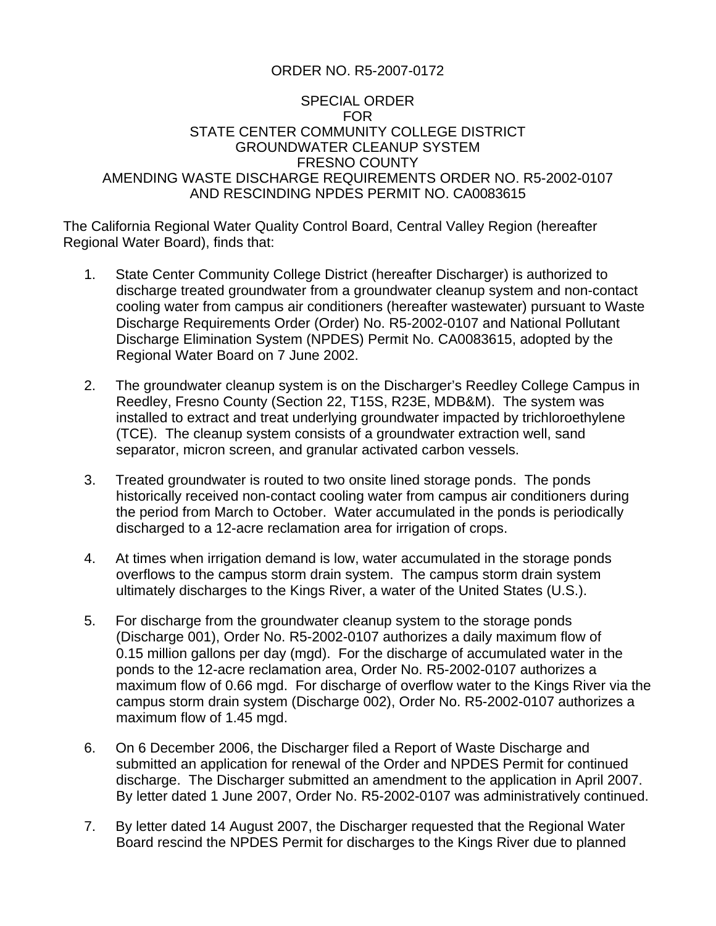## ORDER NO. R5-2007-0172

## SPECIAL ORDER FOR STATE CENTER COMMUNITY COLLEGE DISTRICT GROUNDWATER CLEANUP SYSTEM FRESNO COUNTY AMENDING WASTE DISCHARGE REQUIREMENTS ORDER NO. R5-2002-0107 AND RESCINDING NPDES PERMIT NO. CA0083615

The California Regional Water Quality Control Board, Central Valley Region (hereafter Regional Water Board), finds that:

- 1. State Center Community College District (hereafter Discharger) is authorized to discharge treated groundwater from a groundwater cleanup system and non-contact cooling water from campus air conditioners (hereafter wastewater) pursuant to Waste Discharge Requirements Order (Order) No. R5-2002-0107 and National Pollutant Discharge Elimination System (NPDES) Permit No. CA0083615, adopted by the Regional Water Board on 7 June 2002.
- 2. The groundwater cleanup system is on the Discharger's Reedley College Campus in Reedley, Fresno County (Section 22, T15S, R23E, MDB&M). The system was installed to extract and treat underlying groundwater impacted by trichloroethylene (TCE). The cleanup system consists of a groundwater extraction well, sand separator, micron screen, and granular activated carbon vessels.
- 3. Treated groundwater is routed to two onsite lined storage ponds. The ponds historically received non-contact cooling water from campus air conditioners during the period from March to October. Water accumulated in the ponds is periodically discharged to a 12-acre reclamation area for irrigation of crops.
- 4. At times when irrigation demand is low, water accumulated in the storage ponds overflows to the campus storm drain system. The campus storm drain system ultimately discharges to the Kings River, a water of the United States (U.S.).
- 5. For discharge from the groundwater cleanup system to the storage ponds (Discharge 001), Order No. R5-2002-0107 authorizes a daily maximum flow of 0.15 million gallons per day (mgd). For the discharge of accumulated water in the ponds to the 12-acre reclamation area, Order No. R5-2002-0107 authorizes a maximum flow of 0.66 mgd. For discharge of overflow water to the Kings River via the campus storm drain system (Discharge 002), Order No. R5-2002-0107 authorizes a maximum flow of 1.45 mgd.
- 6. On 6 December 2006, the Discharger filed a Report of Waste Discharge and submitted an application for renewal of the Order and NPDES Permit for continued discharge. The Discharger submitted an amendment to the application in April 2007. By letter dated 1 June 2007, Order No. R5-2002-0107 was administratively continued.
- 7. By letter dated 14 August 2007, the Discharger requested that the Regional Water Board rescind the NPDES Permit for discharges to the Kings River due to planned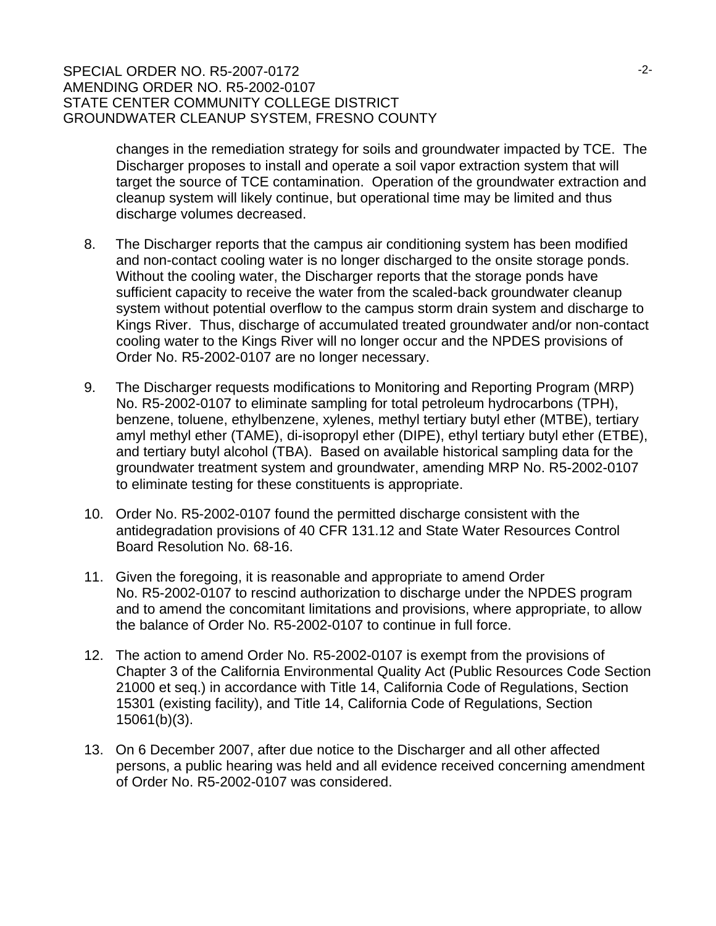## SPECIAL ORDER NO. R5-2007-0172 AMENDING ORDER NO. R5-2002-0107 STATE CENTER COMMUNITY COLLEGE DISTRICT GROUNDWATER CLEANUP SYSTEM, FRESNO COUNTY

changes in the remediation strategy for soils and groundwater impacted by TCE. The Discharger proposes to install and operate a soil vapor extraction system that will target the source of TCE contamination. Operation of the groundwater extraction and cleanup system will likely continue, but operational time may be limited and thus discharge volumes decreased.

- 8. The Discharger reports that the campus air conditioning system has been modified and non-contact cooling water is no longer discharged to the onsite storage ponds. Without the cooling water, the Discharger reports that the storage ponds have sufficient capacity to receive the water from the scaled-back groundwater cleanup system without potential overflow to the campus storm drain system and discharge to Kings River. Thus, discharge of accumulated treated groundwater and/or non-contact cooling water to the Kings River will no longer occur and the NPDES provisions of Order No. R5-2002-0107 are no longer necessary.
- 9. The Discharger requests modifications to Monitoring and Reporting Program (MRP) No. R5-2002-0107 to eliminate sampling for total petroleum hydrocarbons (TPH), benzene, toluene, ethylbenzene, xylenes, methyl tertiary butyl ether (MTBE), tertiary amyl methyl ether (TAME), di-isopropyl ether (DIPE), ethyl tertiary butyl ether (ETBE), and tertiary butyl alcohol (TBA). Based on available historical sampling data for the groundwater treatment system and groundwater, amending MRP No. R5-2002-0107 to eliminate testing for these constituents is appropriate.
- 10. Order No. R5-2002-0107 found the permitted discharge consistent with the antidegradation provisions of 40 CFR 131.12 and State Water Resources Control Board Resolution No. 68-16.
- 11. Given the foregoing, it is reasonable and appropriate to amend Order No. R5-2002-0107 to rescind authorization to discharge under the NPDES program and to amend the concomitant limitations and provisions, where appropriate, to allow the balance of Order No. R5-2002-0107 to continue in full force.
- 12. The action to amend Order No. R5-2002-0107 is exempt from the provisions of Chapter 3 of the California Environmental Quality Act (Public Resources Code Section 21000 et seq.) in accordance with Title 14, California Code of Regulations, Section 15301 (existing facility), and Title 14, California Code of Regulations, Section 15061(b)(3).
- 13. On 6 December 2007, after due notice to the Discharger and all other affected persons, a public hearing was held and all evidence received concerning amendment of Order No. R5-2002-0107 was considered.